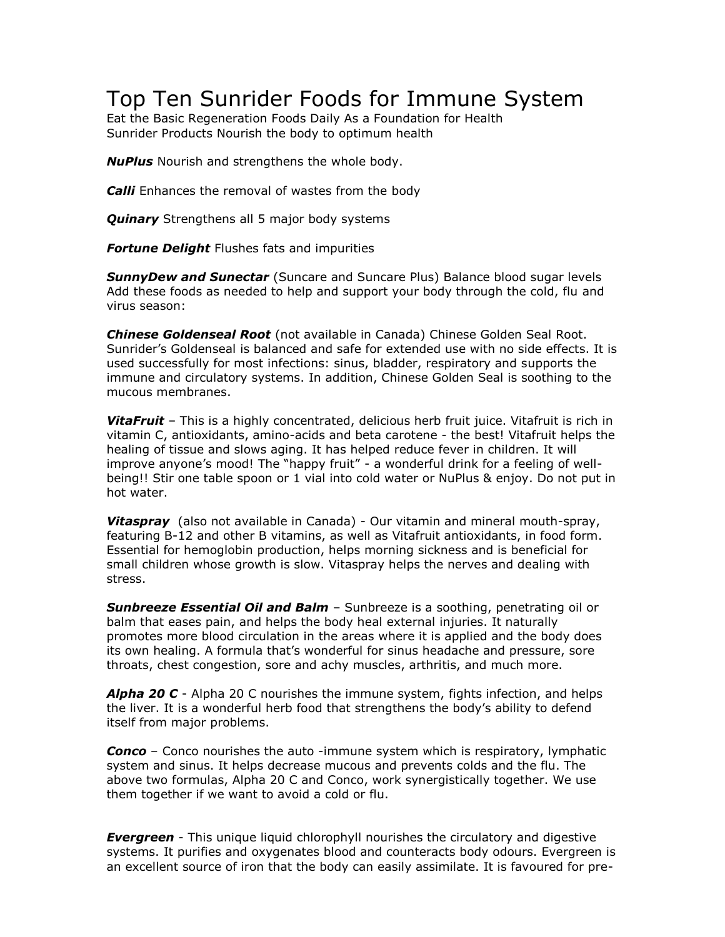## Top Ten Sunrider Foods for Immune System

Eat the Basic Regeneration Foods Daily As a Foundation for Health Sunrider Products Nourish the body to optimum health

*NuPlus* Nourish and strengthens the whole body.

*Calli* Enhances the removal of wastes from the body

*Quinary* Strengthens all 5 major body systems

*Fortune Delight* Flushes fats and impurities

*SunnyDew and Sunectar* (Suncare and Suncare Plus) Balance blood sugar levels Add these foods as needed to help and support your body through the cold, flu and virus season:

*Chinese Goldenseal Root* (not available in Canada) Chinese Golden Seal Root. Sunrider's Goldenseal is balanced and safe for extended use with no side effects. It is used successfully for most infections: sinus, bladder, respiratory and supports the immune and circulatory systems. In addition, Chinese Golden Seal is soothing to the mucous membranes.

*VitaFruit* – This is a highly concentrated, delicious herb fruit juice. Vitafruit is rich in vitamin C, antioxidants, amino-acids and beta carotene - the best! Vitafruit helps the healing of tissue and slows aging. It has helped reduce fever in children. It will improve anyone's mood! The "happy fruit" - a wonderful drink for a feeling of wellbeing!! Stir one table spoon or 1 vial into cold water or NuPlus & enjoy. Do not put in hot water.

*Vitaspray* (also not available in Canada) - Our vitamin and mineral mouth-spray, featuring B-12 and other B vitamins, as well as Vitafruit antioxidants, in food form. Essential for hemoglobin production, helps morning sickness and is beneficial for small children whose growth is slow. Vitaspray helps the nerves and dealing with stress.

*Sunbreeze Essential Oil and Balm* – Sunbreeze is a soothing, penetrating oil or balm that eases pain, and helps the body heal external injuries. It naturally promotes more blood circulation in the areas where it is applied and the body does its own healing. A formula that's wonderful for sinus headache and pressure, sore throats, chest congestion, sore and achy muscles, arthritis, and much more.

*Alpha 20 C* - Alpha 20 C nourishes the immune system, fights infection, and helps the liver. It is a wonderful herb food that strengthens the body's ability to defend itself from major problems.

*Conco* – Conco nourishes the auto -immune system which is respiratory, lymphatic system and sinus. It helps decrease mucous and prevents colds and the flu. The above two formulas, Alpha 20 C and Conco, work synergistically together. We use them together if we want to avoid a cold or flu.

*Evergreen* - This unique liquid chlorophyll nourishes the circulatory and digestive systems. It purifies and oxygenates blood and counteracts body odours. Evergreen is an excellent source of iron that the body can easily assimilate. It is favoured for pre-